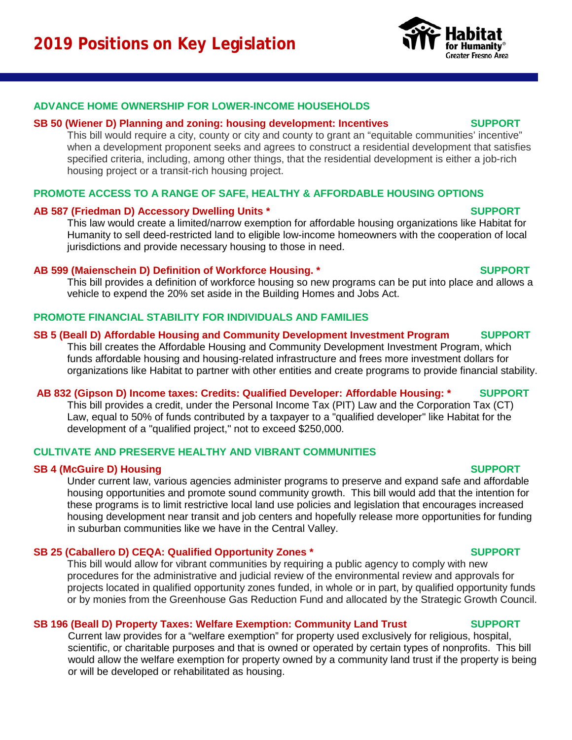## **ADVANCE HOME OWNERSHIP FOR LOWER-INCOME HOUSEHOLDS**

### **SB 50 (Wiener D) Planning and zoning: housing development: Incentives SUPPORT**

This bill would require a city, county or city and county to grant an "equitable communities' incentive" when a development proponent seeks and agrees to construct a residential development that satisfies specified criteria, including, among other things, that the residential development is either a job-rich housing project or a transit-rich housing project.

## **PROMOTE ACCESS TO A RANGE OF SAFE, HEALTHY & AFFORDABLE HOUSING OPTIONS**

### **AB 587 (Friedman D) Accessory Dwelling Units \* SUPPORT**

This law would create a limited/narrow exemption for affordable housing organizations like Habitat for Humanity to sell deed-restricted land to eligible low-income homeowners with the cooperation of local jurisdictions and provide necessary housing to those in need.

### **AB 599 (Maienschein D) Definition of Workforce Housing. \* SUPPORT**

This bill provides a definition of workforce housing so new programs can be put into place and allows a vehicle to expend the 20% set aside in the Building Homes and Jobs Act.

# **PROMOTE FINANCIAL STABILITY FOR INDIVIDUALS AND FAMILIES**

# **SB 5 (Beall D) Affordable Housing and Community Development Investment Program SUPPORT**

This bill creates the Affordable Housing and Community Development Investment Program, which funds affordable housing and housing-related infrastructure and frees more investment dollars for organizations like Habitat to partner with other entities and create programs to provide financial stability.

## **AB 832 (Gipson D) Income taxes: Credits: Qualified Developer: Affordable Housing: \* SUPPORT**

This bill provides a credit, under the Personal Income Tax (PIT) Law and the Corporation Tax (CT) Law, equal to 50% of funds contributed by a taxpayer to a "qualified developer" like Habitat for the development of a "qualified project," not to exceed \$250,000.

# **CULTIVATE AND PRESERVE HEALTHY AND VIBRANT COMMUNITIES**

## **SB 4 (McGuire D) Housing SUPPORT**

Under current law, various agencies administer programs to preserve and expand safe and affordable housing opportunities and promote sound community growth. This bill would add that the intention for these programs is to limit restrictive local land use policies and legislation that encourages increased housing development near transit and job centers and hopefully release more opportunities for funding in suburban communities like we have in the Central Valley.

## **SB 25 (Caballero D) CEQA: Qualified Opportunity Zones \* SUPPORT**

This bill would allow for vibrant communities by requiring a public agency to comply with new procedures for the administrative and judicial review of the environmental review and approvals for projects located in qualified opportunity zones funded, in whole or in part, by qualified opportunity funds or by monies from the Greenhouse Gas Reduction Fund and allocated by the Strategic Growth Council.

## **SB 196 (Beall D) Property Taxes: Welfare Exemption: Community Land Trust SUPPORT**

Current law provides for a "welfare exemption" for property used exclusively for religious, hospital, scientific, or charitable purposes and that is owned or operated by certain types of nonprofits. This bill would allow the welfare exemption for property owned by a community land trust if the property is being or will be developed or rehabilitated as housing.